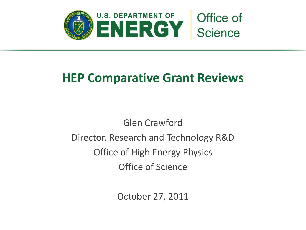

# **HEP Comparative Grant Reviews**

Glen Crawford Director, Research and Technology R&D Office of High Energy Physics Office of Science

October 27, 2011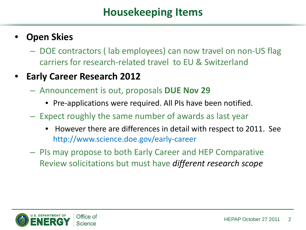#### • **Open Skies**

– DOE contractors ( lab employees) can now travel on non-US flag carriers for research-related travel to EU & Switzerland

#### • **Early Career Research 2012**

- Announcement is out, proposals **DUE Nov 29**
	- Pre-applications were required. All PIs have been notified.
- Expect roughly the same number of awards as last year
	- However there are differences in detail with respect to 2011. See http://www.science.doe.gov/early-career
- PIs may propose to both Early Career and HEP Comparative Review solicitations but must have *different research scope*

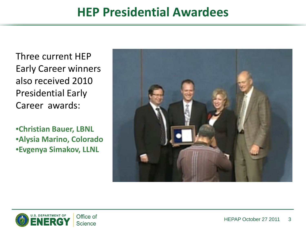# **HEP Presidential Awardees**

Three current HEP Early Career winners also received 2010 Presidential Early Career awards:

•**Christian Bauer, LBNL** •**Alysia Marino, Colorado** •**Evgenya Simakov, LLNL**



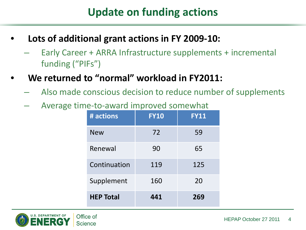# **Update on funding actions**

- **Lots of additional grant actions in FY 2009-10:**
	- Early Career + ARRA Infrastructure supplements + incremental funding ("PIFs")
- **We returned to "normal" workload in FY2011:**
	- Also made conscious decision to reduce number of supplements
	- Average time-to-award improved somewhat

| # actions        | <b>FY10</b> | <b>FY11</b> |
|------------------|-------------|-------------|
| <b>New</b>       | 72          | 59          |
| Renewal          | 90          | 65          |
| Continuation     | 119         | 125         |
| Supplement       | 160         | 20          |
| <b>HEP Total</b> | 441         | 269         |

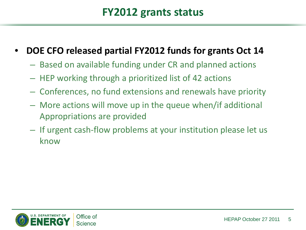### **FY2012 grants status**

- **DOE CFO released partial FY2012 funds for grants Oct 14**
	- Based on available funding under CR and planned actions
	- HEP working through a prioritized list of 42 actions
	- Conferences, no fund extensions and renewals have priority
	- More actions will move up in the queue when/if additional Appropriations are provided
	- If urgent cash-flow problems at your institution please let us know

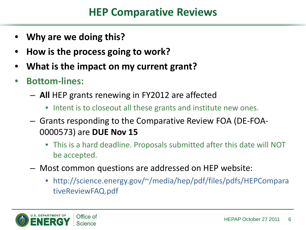## **HEP Comparative Reviews**

- **Why are we doing this?**
- **How is the process going to work?**
- **What is the impact on my current grant?**
- **Bottom-lines:**
	- **All** HEP grants renewing in FY2012 are affected
		- Intent is to closeout all these grants and institute new ones.
	- Grants responding to the Comparative Review FOA (DE-FOA-0000573) are **DUE Nov 15**
		- This is a hard deadline. Proposals submitted after this date will NOT be accepted.
	- Most common questions are addressed on HEP website:
		- http://science.energy.gov/~/media/hep/pdf/files/pdfs/HEPCompara tiveReviewFAQ.pdf

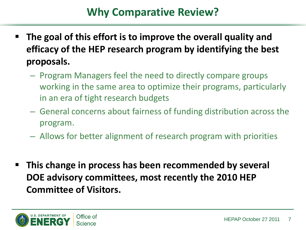# **Why Comparative Review?**

- **The goal of this effort is to improve the overall quality and efficacy of the HEP research program by identifying the best proposals.** 
	- Program Managers feel the need to directly compare groups working in the same area to optimize their programs, particularly in an era of tight research budgets
	- General concerns about fairness of funding distribution across the program.
	- Allows for better alignment of research program with priorities
- **This change in process has been recommended by several DOE advisory committees, most recently the 2010 HEP Committee of Visitors.**

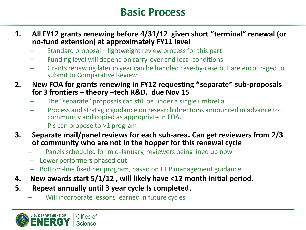## **Basic Process**

- **1. All FY12 grants renewing before 4/31/12 given short "terminal" renewal (or no-fund extension) at approximately FY11 level**
	- Standard proposal + lightweight review process for this part
	- Funding level will depend on carry-over and local conditions
	- Grants renewing later in year can be handled case-by-case but are encouraged to submit to Comparative Review
- **2. New FOA for grants renewing in FY12 requesting \*separate\* sub-proposals for 3 frontiers + theory +tech R&D, due Nov 15**
	- The "separate" proposals can still be under a single umbrella
	- Process and strategic guidance on research directions announced in advance to community and copied as appropriate in FOA.
	- PIs can propose to >1 program
- **3. Separate mail/panel reviews for each sub-area. Can get reviewers from 2/3 of community who are not in the hopper for this renewal cycle**
	- Panels scheduled for mid-January, reviewers being lined up now
	- Lower performers phased out
	- Bottom-line fixed per program, based on HEP management guidance
- **4. New awards start 5/1/12 , will likely have <12 month initial period.**
- **5. Repeat annually until 3 year cycle Is completed.**
	- Will incorporate lessons learned in future cycles

**U.S. DEPARTMENT OF** Office of **Science**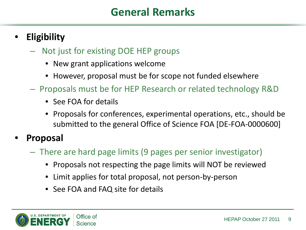## **General Remarks**

#### • **Eligibility**

- Not just for existing DOE HEP groups
	- New grant applications welcome
	- However, proposal must be for scope not funded elsewhere
- Proposals must be for HEP Research or related technology R&D
	- See FOA for details
	- Proposals for conferences, experimental operations, etc., should be submitted to the general Office of Science FOA [DE-FOA-0000600]

#### • **Proposal**

- There are hard page limits (9 pages per senior investigator)
	- Proposals not respecting the page limits will NOT be reviewed
	- Limit applies for total proposal, not person-by-person
	- See FOA and FAQ site for details

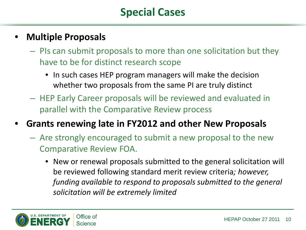# **Special Cases**

#### • **Multiple Proposals**

- PIs can submit proposals to more than one solicitation but they have to be for distinct research scope
	- In such cases HEP program managers will make the decision whether two proposals from the same PI are truly distinct
- HEP Early Career proposals will be reviewed and evaluated in parallel with the Comparative Review process
- **Grants renewing late in FY2012 and other New Proposals**
	- Are strongly encouraged to submit a new proposal to the new Comparative Review FOA.
		- New or renewal proposals submitted to the general solicitation will be reviewed following standard merit review criteria*; however, funding available to respond to proposals submitted to the general solicitation will be extremely limited*

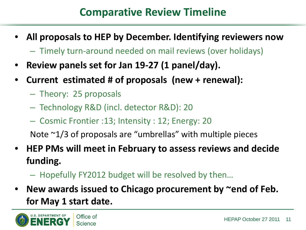# **Comparative Review Timeline**

- **All proposals to HEP by December. Identifying reviewers now**
	- Timely turn-around needed on mail reviews (over holidays)
- **Review panels set for Jan 19-27 (1 panel/day).**
- **Current estimated # of proposals (new + renewal):**
	- Theory: 25 proposals
	- Technology R&D (incl. detector R&D): 20
	- Cosmic Frontier :13; Intensity : 12; Energy: 20

Note  $\sim$ 1/3 of proposals are "umbrellas" with multiple pieces

- **HEP PMs will meet in February to assess reviews and decide funding.**
	- Hopefully FY2012 budget will be resolved by then…
- **New awards issued to Chicago procurement by ~end of Feb. for May 1 start date.**